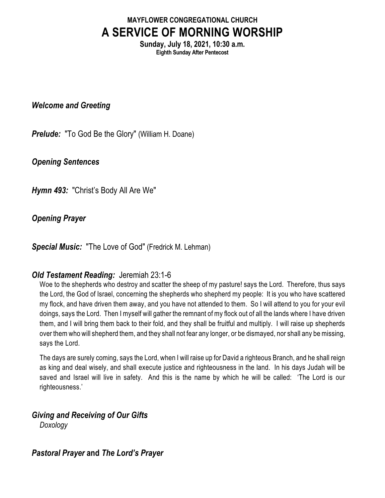# **MAYFLOWER CONGREGATIONAL CHURCH A SERVICE OF MORNING WORSHIP**

**Sunday, July 18, 2021, 10:30 a.m. Eighth Sunday After Pentecost**

*Welcome and Greeting*

*Prelude:* "To God Be the Glory" (William H. Doane)

*Opening Sentences*

*Hymn 493:* "Christ's Body All Are We"

*Opening Prayer*

*Special Music:* "The Love of God" (Fredrick M. Lehman)

### *Old Testament Reading:* Jeremiah 23:1-6

Woe to the shepherds who destroy and scatter the sheep of my pasture! says the Lord. Therefore, thus says the Lord, the God of Israel, concerning the shepherds who shepherd my people: It is you who have scattered my flock, and have driven them away, and you have not attended to them. So I will attend to you for your evil doings, says the Lord. Then I myself will gather the remnant of my flock out of all the lands where I have driven them, and I will bring them back to their fold, and they shall be fruitful and multiply. I will raise up shepherds over them who will shepherd them, and they shall not fear any longer, or be dismayed, nor shall any be missing, says the Lord.

The days are surely coming, says the Lord, when I will raise up for David a righteous Branch, and he shall reign as king and deal wisely, and shall execute justice and righteousness in the land. In his days Judah will be saved and Israel will live in safety. And this is the name by which he will be called: 'The Lord is our righteousness.'

## *Giving and Receiving of Our Gifts*

*Doxology*

### *Pastoral Prayer* **and** *The Lord's Prayer*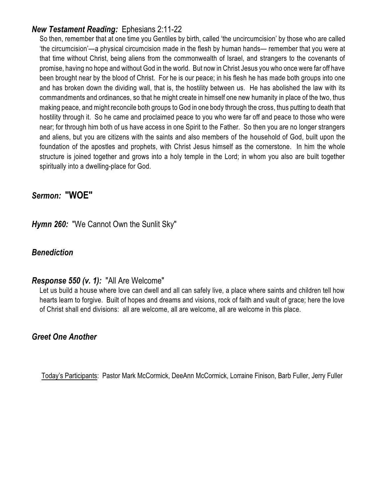#### *New Testament Reading:* Ephesians 2:11-22

So then, remember that at one time you Gentiles by birth, called 'the uncircumcision' by those who are called 'the circumcision'—a physical circumcision made in the flesh by human hands— remember that you were at that time without Christ, being aliens from the commonwealth of Israel, and strangers to the covenants of promise, having no hope and without God in the world. But now in Christ Jesus you who once were far off have been brought near by the blood of Christ. For he is our peace; in his flesh he has made both groups into one and has broken down the dividing wall, that is, the hostility between us. He has abolished the law with its commandments and ordinances, so that he might create in himself one new humanity in place of the two, thus making peace, and might reconcile both groups to God in one body through the cross, thus putting to death that hostility through it. So he came and proclaimed peace to you who were far off and peace to those who were near; for through him both of us have access in one Spirit to the Father. So then you are no longer strangers and aliens, but you are citizens with the saints and also members of the household of God, built upon the foundation of the apostles and prophets, with Christ Jesus himself as the cornerstone. In him the whole structure is joined together and grows into a holy temple in the Lord; in whom you also are built together spiritually into a dwelling-place for God.

#### *Sermon:* **"WOE"**

*Hymn 260:* "We Cannot Own the Sunlit Sky"

#### *Benediction*

#### *Response 550 (v. 1):* "All Are Welcome"

Let us build a house where love can dwell and all can safely live, a place where saints and children tell how hearts learn to forgive. Built of hopes and dreams and visions, rock of faith and vault of grace; here the love of Christ shall end divisions: all are welcome, all are welcome, all are welcome in this place.

#### *Greet One Another*

Today's Participants: Pastor Mark McCormick, DeeAnn McCormick, Lorraine Finison, Barb Fuller, Jerry Fuller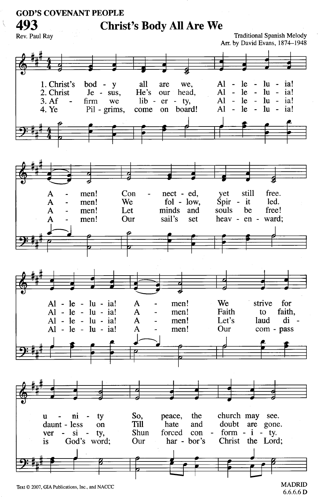#### **GOD'S COVENANT PEOPLE**

**Christ's Body All Are We** 

493 Rev. Paul Ray

**Traditional Spanish Melody** Arr. by David Evans, 1874-1948



**MADRID**  $6.6.6.6 D$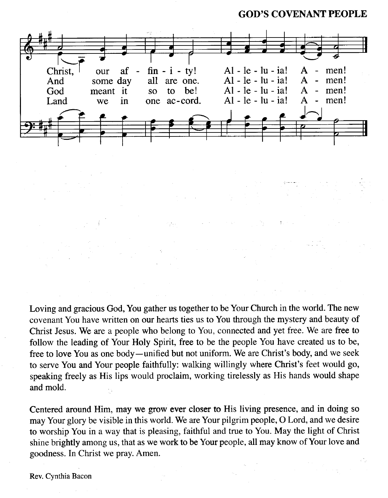**GOD'S COVENANT PEOPLE** 



Loving and gracious God, You gather us together to be Your Church in the world. The new covenant You have written on our hearts ties us to You through the mystery and beauty of Christ Jesus. We are a people who belong to You, connected and yet free. We are free to follow the leading of Your Holy Spirit, free to be the people You have created us to be, free to love You as one body—unified but not uniform. We are Christ's body, and we seek to serve You and Your people faithfully: walking willingly where Christ's feet would go, speaking freely as His lips would proclaim, working tirelessly as His hands would shape and mold.

Centered around Him, may we grow ever closer to His living presence, and in doing so may Your glory be visible in this world. We are Your pilgrim people, O Lord, and we desire to worship You in a way that is pleasing, faithful and true to You. May the light of Christ shine brightly among us, that as we work to be Your people, all may know of Your love and goodness. In Christ we pray. Amen.

Rev. Cynthia Bacon